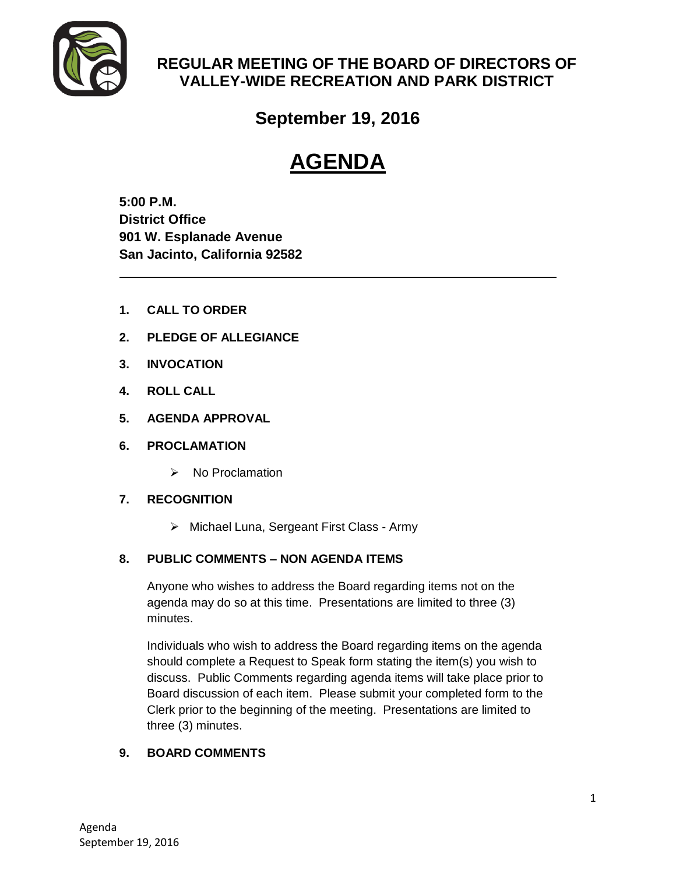

# **REGULAR MEETING OF THE BOARD OF DIRECTORS OF VALLEY-WIDE RECREATION AND PARK DISTRICT**

**September 19, 2016**

# **AGENDA**

**5:00 P.M. District Office 901 W. Esplanade Avenue San Jacinto, California 92582**

- **1. CALL TO ORDER**
- **2. PLEDGE OF ALLEGIANCE**
- **3. INVOCATION**
- **4. ROLL CALL**
- **5. AGENDA APPROVAL**
- **6. PROCLAMATION**
	- $\triangleright$  No Proclamation

# **7. RECOGNITION**

Michael Luna, Sergeant First Class - Army

# **8. PUBLIC COMMENTS – NON AGENDA ITEMS**

Anyone who wishes to address the Board regarding items not on the agenda may do so at this time. Presentations are limited to three (3) minutes.

Individuals who wish to address the Board regarding items on the agenda should complete a Request to Speak form stating the item(s) you wish to discuss. Public Comments regarding agenda items will take place prior to Board discussion of each item. Please submit your completed form to the Clerk prior to the beginning of the meeting. Presentations are limited to three (3) minutes.

# **9. BOARD COMMENTS**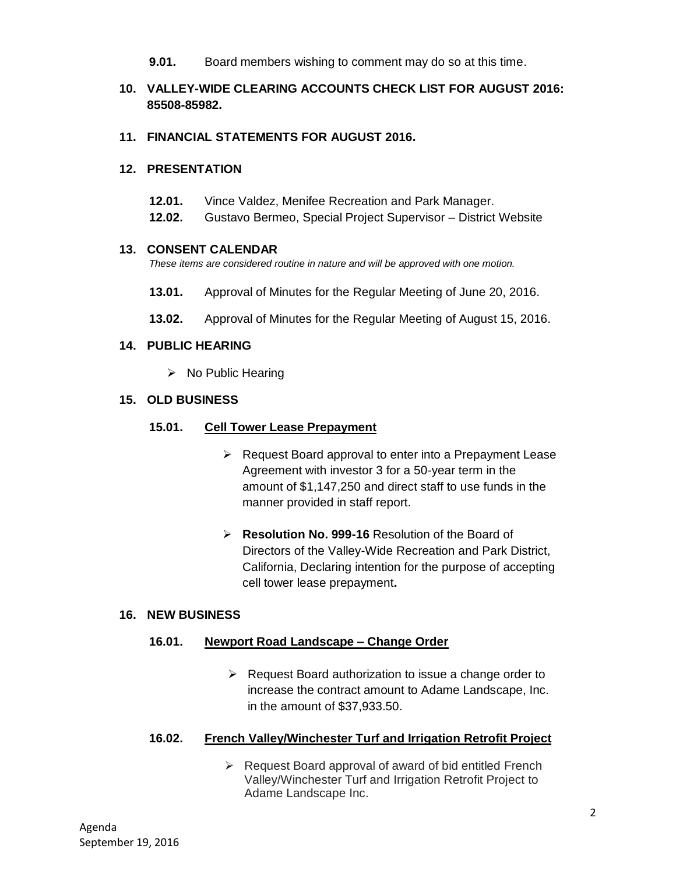**9.01.** Board members wishing to comment may do so at this time.

# **10. VALLEY-WIDE CLEARING ACCOUNTS CHECK LIST FOR AUGUST 2016: 85508-85982.**

#### **11. FINANCIAL STATEMENTS FOR AUGUST 2016.**

#### **12. PRESENTATION**

- **12.01.** Vince Valdez, Menifee Recreation and Park Manager.
- **12.02.** Gustavo Bermeo, Special Project Supervisor District Website

#### **13. CONSENT CALENDAR**

*These items are considered routine in nature and will be approved with one motion.* 

- **13.01.** Approval of Minutes for the Regular Meeting of June 20, 2016.
- **13.02.** Approval of Minutes for the Regular Meeting of August 15, 2016.

# **14. PUBLIC HEARING**

 $\triangleright$  No Public Hearing

#### **15. OLD BUSINESS**

#### **15.01. Cell Tower Lease Prepayment**

- ▶ Request Board approval to enter into a Prepayment Lease Agreement with investor 3 for a 50-year term in the amount of \$1,147,250 and direct staff to use funds in the manner provided in staff report.
- **Resolution No. 999-16** Resolution of the Board of Directors of the Valley-Wide Recreation and Park District, California, Declaring intention for the purpose of accepting cell tower lease prepayment**.**

#### **16. NEW BUSINESS**

#### **16.01. Newport Road Landscape – Change Order**

 $\triangleright$  Request Board authorization to issue a change order to increase the contract amount to Adame Landscape, Inc. in the amount of \$37,933.50.

#### **16.02. French Valley/Winchester Turf and Irrigation Retrofit Project**

 $\triangleright$  Request Board approval of award of bid entitled French Valley/Winchester Turf and Irrigation Retrofit Project to Adame Landscape Inc.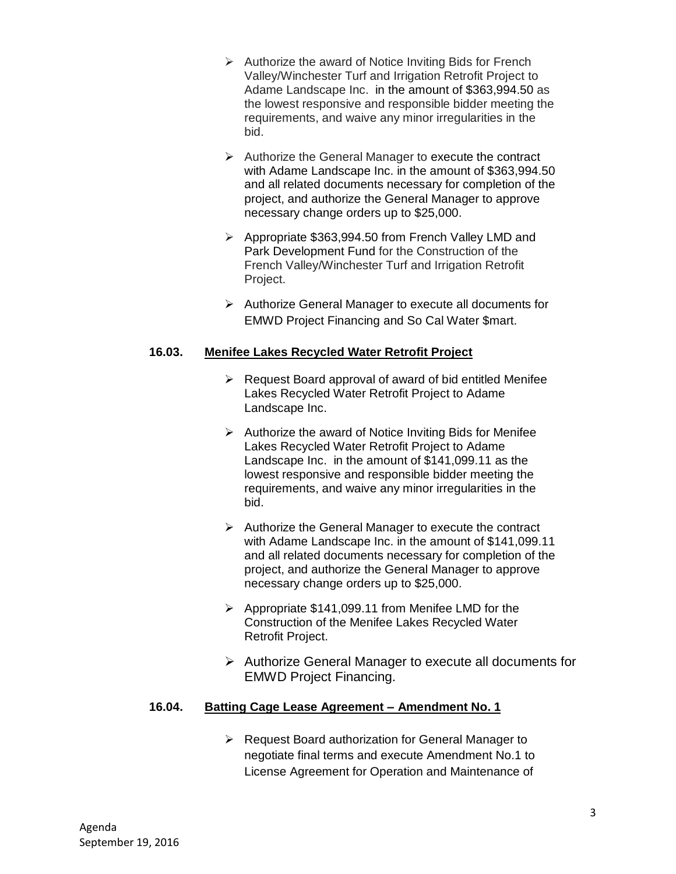- $\triangleright$  Authorize the award of Notice Inviting Bids for French Valley/Winchester Turf and Irrigation Retrofit Project to Adame Landscape Inc. in the amount of \$363,994.50 as the lowest responsive and responsible bidder meeting the requirements, and waive any minor irregularities in the bid.
- $\triangleright$  Authorize the General Manager to execute the contract with Adame Landscape Inc. in the amount of \$363,994.50 and all related documents necessary for completion of the project, and authorize the General Manager to approve necessary change orders up to \$25,000.
- Appropriate \$363,994.50 from French Valley LMD and Park Development Fund for the Construction of the French Valley/Winchester Turf and Irrigation Retrofit Project.
- Authorize General Manager to execute all documents for EMWD Project Financing and So Cal Water \$mart.

#### **16.03. Menifee Lakes Recycled Water Retrofit Project**

- $\triangleright$  Request Board approval of award of bid entitled Menifee Lakes Recycled Water Retrofit Project to Adame Landscape Inc.
- $\triangleright$  Authorize the award of Notice Inviting Bids for Menifee Lakes Recycled Water Retrofit Project to Adame Landscape Inc. in the amount of \$141,099.11 as the lowest responsive and responsible bidder meeting the requirements, and waive any minor irregularities in the bid.
- $\triangleright$  Authorize the General Manager to execute the contract with Adame Landscape Inc. in the amount of \$141,099.11 and all related documents necessary for completion of the project, and authorize the General Manager to approve necessary change orders up to \$25,000.
- $\triangleright$  Appropriate \$141,099.11 from Menifee LMD for the Construction of the Menifee Lakes Recycled Water Retrofit Project.
- $\triangleright$  Authorize General Manager to execute all documents for EMWD Project Financing.

#### **16.04. Batting Cage Lease Agreement – Amendment No. 1**

 $\triangleright$  Request Board authorization for General Manager to negotiate final terms and execute Amendment No.1 to License Agreement for Operation and Maintenance of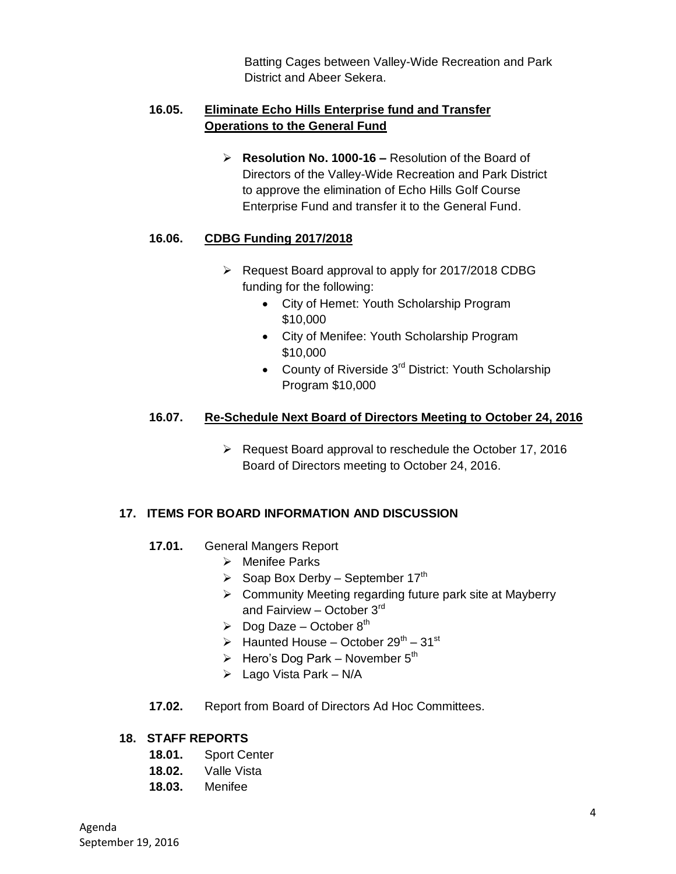Batting Cages between Valley-Wide Recreation and Park District and Abeer Sekera.

# **16.05. Eliminate Echo Hills Enterprise fund and Transfer Operations to the General Fund**

 **Resolution No. 1000-16 –** Resolution of the Board of Directors of the Valley-Wide Recreation and Park District to approve the elimination of Echo Hills Golf Course Enterprise Fund and transfer it to the General Fund.

# **16.06. CDBG Funding 2017/2018**

- $\triangleright$  Request Board approval to apply for 2017/2018 CDBG funding for the following:
	- City of Hemet: Youth Scholarship Program \$10,000
	- City of Menifee: Youth Scholarship Program \$10,000
	- County of Riverside 3<sup>rd</sup> District: Youth Scholarship Program \$10,000

# **16.07. Re-Schedule Next Board of Directors Meeting to October 24, 2016**

 $\triangleright$  Request Board approval to reschedule the October 17, 2016 Board of Directors meeting to October 24, 2016.

# **17. ITEMS FOR BOARD INFORMATION AND DISCUSSION**

- **17.01.** General Mangers Report
	- $\triangleright$  Menifee Parks
	- $\triangleright$  Soap Box Derby September 17<sup>th</sup>
	- $\triangleright$  Community Meeting regarding future park site at Mayberry and Fairview – October 3rd
	- $\triangleright$  Dog Daze October 8<sup>th</sup>
	- $\triangleright$  Haunted House October 29<sup>th</sup> 31<sup>st</sup>
	- $\triangleright$  Hero's Dog Park November 5<sup>th</sup>
	- $\triangleright$  Lago Vista Park N/A
- **17.02.** Report from Board of Directors Ad Hoc Committees.

#### **18. STAFF REPORTS**

- **18.01.** Sport Center
- **18.02.** Valle Vista
- **18.03.** Menifee